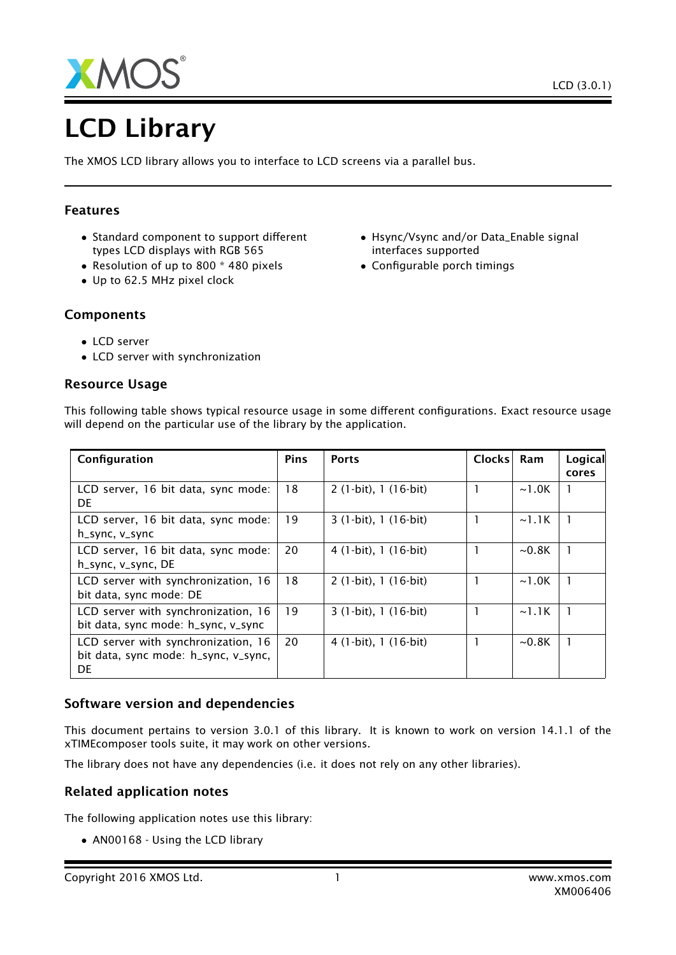

# LCD Library

The XMOS LCD library allows you to interface to LCD screens via a parallel bus.

## Features

- Standard component to support different types LCD displays with RGB 565
- Resolution of up to 800 \* 480 pixels
- Up to 62.5 MHz pixel clock
- Hsync/Vsync and/or Data\_Enable signal interfaces supported
- Configurable porch timings

- Components
	- LCD server
	- LCD server with synchronization

## Resource Usage

| Configuration                                                                     | <b>Pins</b> | <b>Ports</b>          | Clocks | Ram         | Logical<br>cores |
|-----------------------------------------------------------------------------------|-------------|-----------------------|--------|-------------|------------------|
| LCD server, 16 bit data, sync mode:<br><b>DE</b>                                  | 18          | 2 (1-bit), 1 (16-bit) |        | $\sim$ 1.0K | 1                |
| LCD server, 16 bit data, sync mode:<br>h_sync, v_sync                             | 19          | 3 (1-bit), 1 (16-bit) |        | $\sim$ 1.1K |                  |
| LCD server, 16 bit data, sync mode:<br>h_sync, v_sync, DE                         | 20          | 4 (1-bit), 1 (16-bit) |        | $\sim$ 0.8K |                  |
| LCD server with synchronization, 16<br>bit data, sync mode: DE                    | 18          | $2(1-bit), 1(16-bit)$ |        | $\sim$ 1.0K |                  |
| LCD server with synchronization, 16<br>bit data, sync mode: h_sync, v_sync        | 19          | $3(1-bit), 1(16-bit)$ |        | $\sim$ 1.1K |                  |
| LCD server with synchronization, 16<br>bit data, sync mode: h_sync, v_sync,<br>DE | 20          | 4 (1-bit), 1 (16-bit) |        | $\sim$ 0.8K |                  |

This following table shows typical resource usage in some different configurations. Exact resource usage will depend on the particular use of the library by the application.

## Software version and dependencies

This document pertains to version 3.0.1 of this library. It is known to work on version 14.1.1 of the xTIMEcomposer tools suite, it may work on other versions.

The library does not have any dependencies (i.e. it does not rely on any other libraries).

## Related application notes

The following application notes use this library:

• AN00168 - Using the LCD library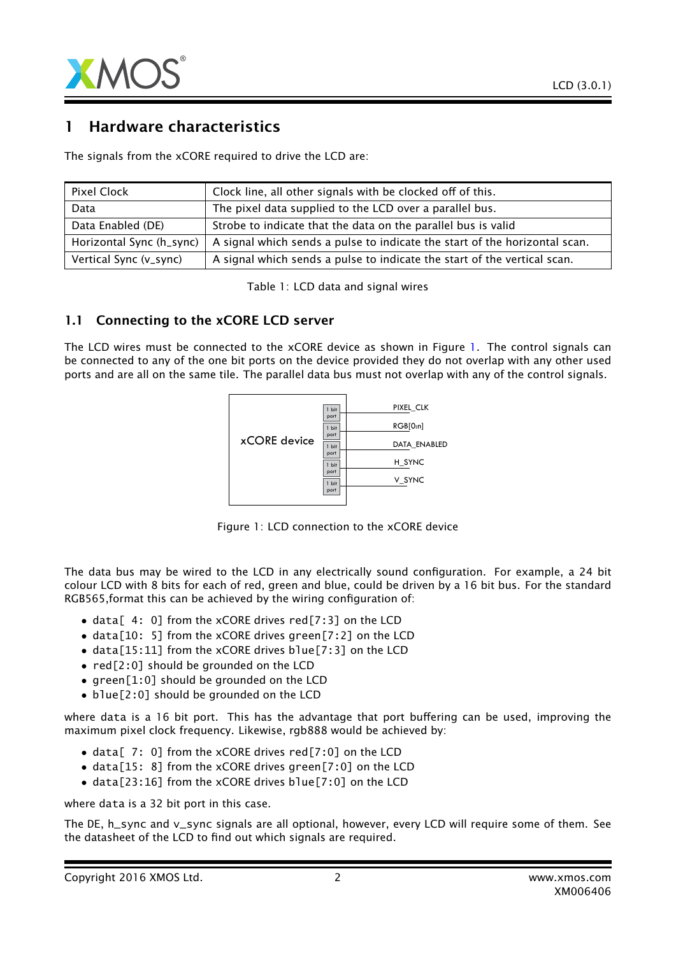

# 1 Hardware characteristics

The signals from the xCORE required to drive the LCD are:

| Pixel Clock              | Clock line, all other signals with be clocked off of this.                 |  |
|--------------------------|----------------------------------------------------------------------------|--|
| Data                     | The pixel data supplied to the LCD over a parallel bus.                    |  |
| Data Enabled (DE)        | Strobe to indicate that the data on the parallel bus is valid              |  |
| Horizontal Sync (h_sync) | A signal which sends a pulse to indicate the start of the horizontal scan. |  |
| Vertical Sync (v_sync)   | A signal which sends a pulse to indicate the start of the vertical scan.   |  |

Table 1: LCD data and signal wires

#### 1.1 Connecting to the xCORE LCD server

The LCD wires must be connected to the xCORE device as shown in Figure [1.](#page-1-0) The control signals can be connected to any of the one bit ports on the device provided they do not overlap with any other used ports and are all on the same tile. The parallel data bus must not overlap with any of the control signals.



<span id="page-1-0"></span>Figure 1: LCD connection to the xCORE device

The data bus may be wired to the LCD in any electrically sound configuration. For example, a 24 bit colour LCD with 8 bits for each of red, green and blue, could be driven by a 16 bit bus. For the standard RGB565,format this can be achieved by the wiring configuration of:

- data [4: 0] from the xCORE drives red [7:3] on the LCD
- data[10: 5] from the xCORE drives green[7:2] on the LCD
- data[15:11] from the xCORE drives blue[7:3] on the LCD
- red[2:0] should be grounded on the LCD
- green[1:0] should be grounded on the LCD
- blue[2:0] should be grounded on the LCD

where data is a 16 bit port. This has the advantage that port buffering can be used, improving the maximum pixel clock frequency. Likewise, rgb888 would be achieved by:

- data[ 7: 0] from the xCORE drives red[7:0] on the LCD
- data[15: 8] from the xCORE drives green[7:0] on the LCD
- data[23:16] from the xCORE drives blue[7:0] on the LCD

where data is a 32 bit port in this case.

The DE, h\_sync and v\_sync signals are all optional, however, every LCD will require some of them. See the datasheet of the LCD to find out which signals are required.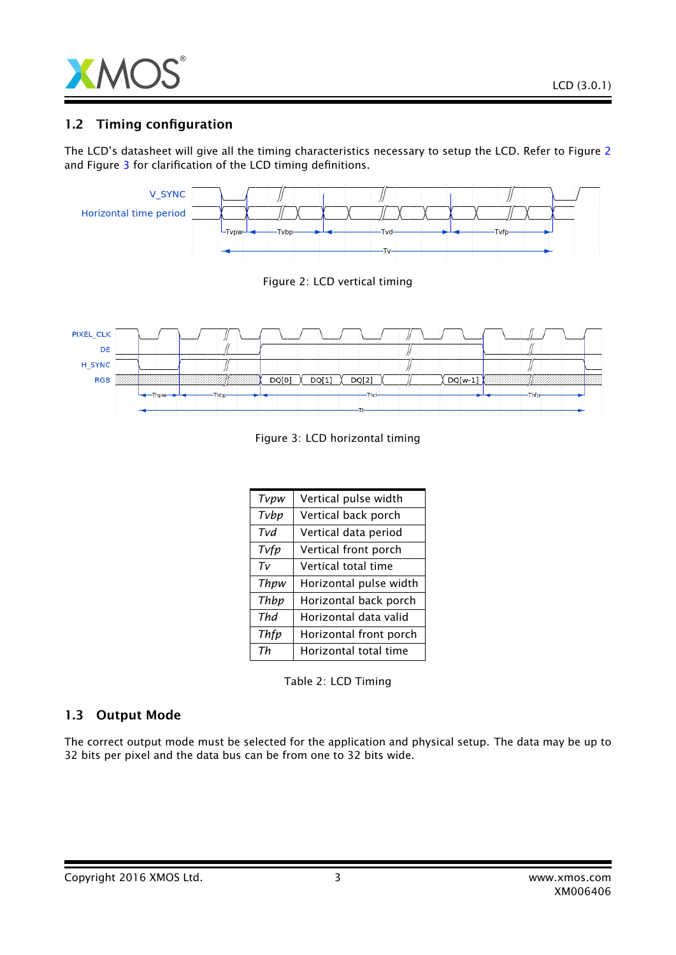

## 1.2 Timing configuration

The LCD's datasheet will give all the timing characteristics necessary to setup the LCD. Refer to Figure [2](#page-2-0) and Figure [3](#page-2-1) for clarification of the LCD timing definitions.



<span id="page-2-1"></span><span id="page-2-0"></span>Figure 3: LCD horizontal timing

| Tvpw  | Vertical pulse width   |  |  |
|-------|------------------------|--|--|
| Tvbp  | Vertical back porch    |  |  |
| Tvd   | Vertical data period   |  |  |
| Tvfp  | Vertical front porch   |  |  |
| $T_V$ | Vertical total time    |  |  |
| Thpw  | Horizontal pulse width |  |  |
| Thbp  | Horizontal back porch  |  |  |
| Thd   | Horizontal data valid  |  |  |
| Thfp  | Horizontal front porch |  |  |
| Тh    | Horizontal total time  |  |  |

Table 2: LCD Timing

# 1.3 Output Mode

The correct output mode must be selected for the application and physical setup. The data may be up to 32 bits per pixel and the data bus can be from one to 32 bits wide.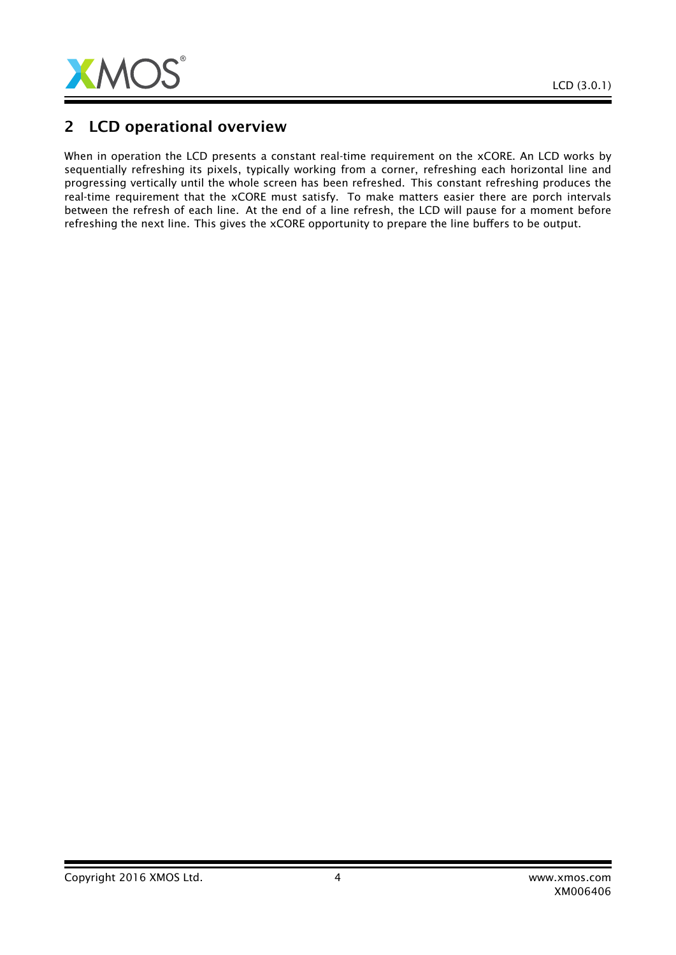

# 2 LCD operational overview

When in operation the LCD presents a constant real-time requirement on the xCORE. An LCD works by sequentially refreshing its pixels, typically working from a corner, refreshing each horizontal line and progressing vertically until the whole screen has been refreshed. This constant refreshing produces the real-time requirement that the xCORE must satisfy. To make matters easier there are porch intervals between the refresh of each line. At the end of a line refresh, the LCD will pause for a moment before refreshing the next line. This gives the xCORE opportunity to prepare the line buffers to be output.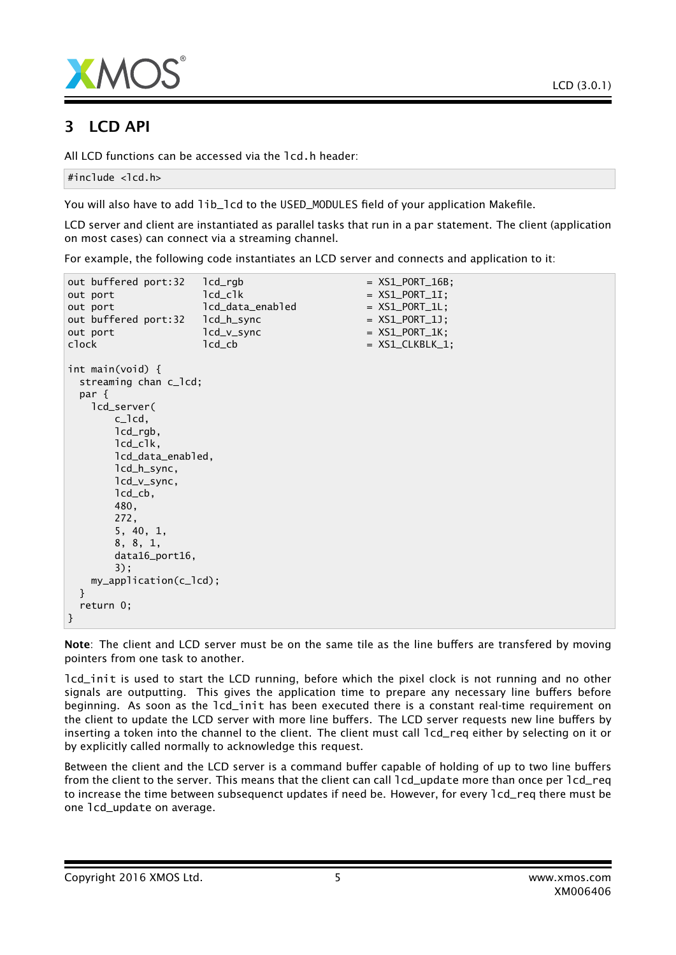



# 3 LCD API

All LCD functions can be accessed via the lcd.h header:

```
#include <lcd.h>
```
You will also have to add lib\_lcd to the USED\_MODULES field of your application Makefile.

LCD server and client are instantiated as parallel tasks that run in a par statement. The client (application on most cases) can connect via a streaming channel.

For example, the following code instantiates an LCD server and connects and application to it:

```
out buffered port:32 lcd\_rqb = XSL_PORT_16B;out port led led led led led led end end con XSL_PORT_1I;out port led led led led H = XSL-PORT_1L;out buffered port:32    lcd_h_sync = XS1_PORT_1J;
out port led_v_sync = XS1_PORT_1K;
\text{clock} \text{1cd\_cb} \text{= } XSL\_CLKBLK\_1;int main(void) {
 streaming chan c_lcd;
 par {
   lcd_server(
      c_lcd,
      lcd_rgb,
      lcd_clk,
      lcd_data_enabled,
      lcd_h_sync,
      lcd_v_sync,
      lcd_cb,
      480,
      272,
      5, 40, 1,
      8, 8, 1,
      data16_port16,
      3);
   my_application(c_lcd);
 }
 return 0;
}
```
Note: The client and LCD server must be on the same tile as the line buffers are transfered by moving pointers from one task to another.

lcd\_init is used to start the LCD running, before which the pixel clock is not running and no other signals are outputting. This gives the application time to prepare any necessary line buffers before beginning. As soon as the lcd\_init has been executed there is a constant real-time requirement on the client to update the LCD server with more line buffers. The LCD server requests new line buffers by inserting a token into the channel to the client. The client must call lcd\_req either by selecting on it or by explicitly called normally to acknowledge this request.

Between the client and the LCD server is a command buffer capable of holding of up to two line buffers from the client to the server. This means that the client can call 1cd update more than once per 1cd req to increase the time between subsequenct updates if need be. However, for every  $1cd$ -req there must be one lcd\_update on average.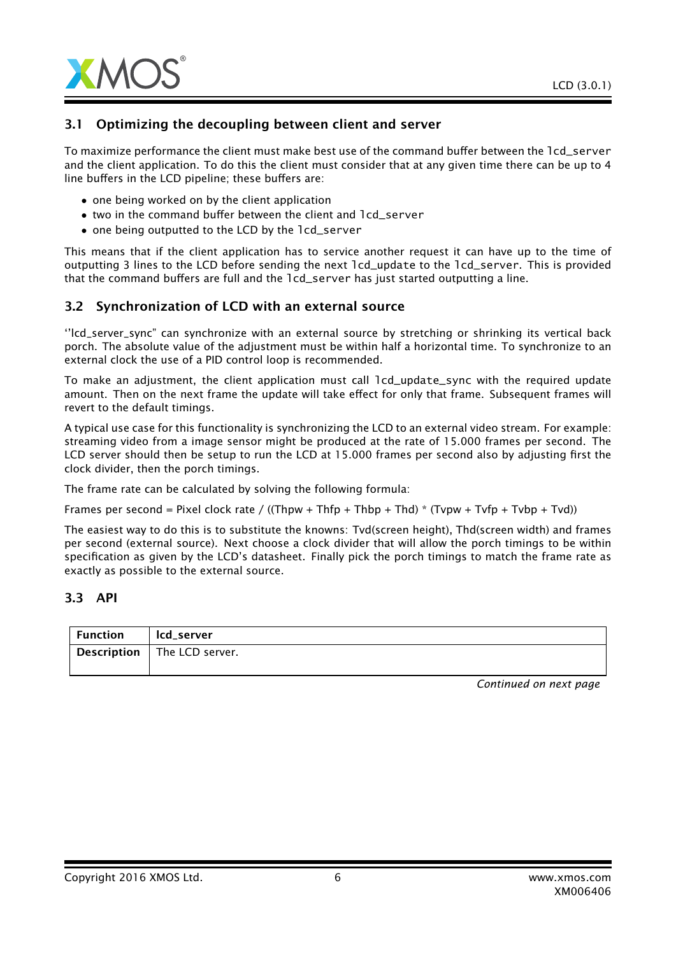

## 3.1 Optimizing the decoupling between client and server

To maximize performance the client must make best use of the command buffer between the lcd\_server and the client application. To do this the client must consider that at any given time there can be up to 4 line buffers in the LCD pipeline; these buffers are:

- one being worked on by the client application
- two in the command buffer between the client and lcd\_server
- one being outputted to the LCD by the lcd\_server

This means that if the client application has to service another request it can have up to the time of outputting 3 lines to the LCD before sending the next lcd\_update to the lcd\_server. This is provided that the command buffers are full and the lcd\_server has just started outputting a line.

#### 3.2 Synchronization of LCD with an external source

''lcd\_server\_sync" can synchronize with an external source by stretching or shrinking its vertical back porch. The absolute value of the adjustment must be within half a horizontal time. To synchronize to an external clock the use of a PID control loop is recommended.

To make an adjustment, the client application must call lcd\_update\_sync with the required update amount. Then on the next frame the update will take effect for only that frame. Subsequent frames will revert to the default timings.

A typical use case for this functionality is synchronizing the LCD to an external video stream. For example: streaming video from a image sensor might be produced at the rate of 15.000 frames per second. The LCD server should then be setup to run the LCD at 15.000 frames per second also by adjusting first the clock divider, then the porch timings.

The frame rate can be calculated by solving the following formula:

Frames per second = Pixel clock rate / ((Thpw + Thfp + Thbp + Thd) \* (Tvpw + Tvfp + Tvbp + Tvd))

The easiest way to do this is to substitute the knowns: Tvd(screen height), Thd(screen width) and frames per second (external source). Next choose a clock divider that will allow the porch timings to be within specification as given by the LCD's datasheet. Finally pick the porch timings to match the frame rate as exactly as possible to the external source.

#### 3.3 API

| Function | lcd_server                         |
|----------|------------------------------------|
|          | <b>Description</b> The LCD server. |
|          |                                    |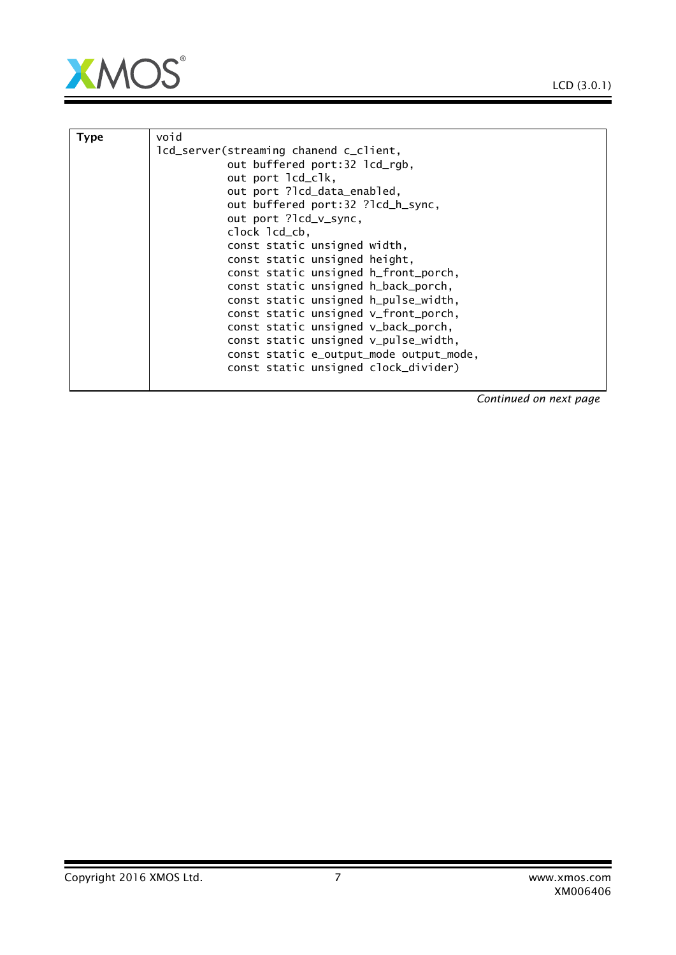



| <b>Type</b> | void                                    |
|-------------|-----------------------------------------|
|             |                                         |
|             | lcd_server(streaming chanend c_client,  |
|             | out buffered port:32 lcd_rgb,           |
|             | out port lcd_clk,                       |
|             | out port ?lcd_data_enabled,             |
|             | out buffered port:32 ?lcd_h_sync,       |
|             | out port ?lcd_v_sync,                   |
|             | clock lcd_cb,                           |
|             | const static unsigned width,            |
|             | const static unsigned height,           |
|             | const static unsigned h_front_porch,    |
|             | const static unsigned h_back_porch,     |
|             | const static unsigned h_pulse_width,    |
|             | const static unsigned v_front_porch,    |
|             | const static unsigned v_back_porch,     |
|             | const static unsigned v_pulse_width,    |
|             | const static e_output_mode output_mode, |
|             | const static unsigned clock_divider)    |
|             |                                         |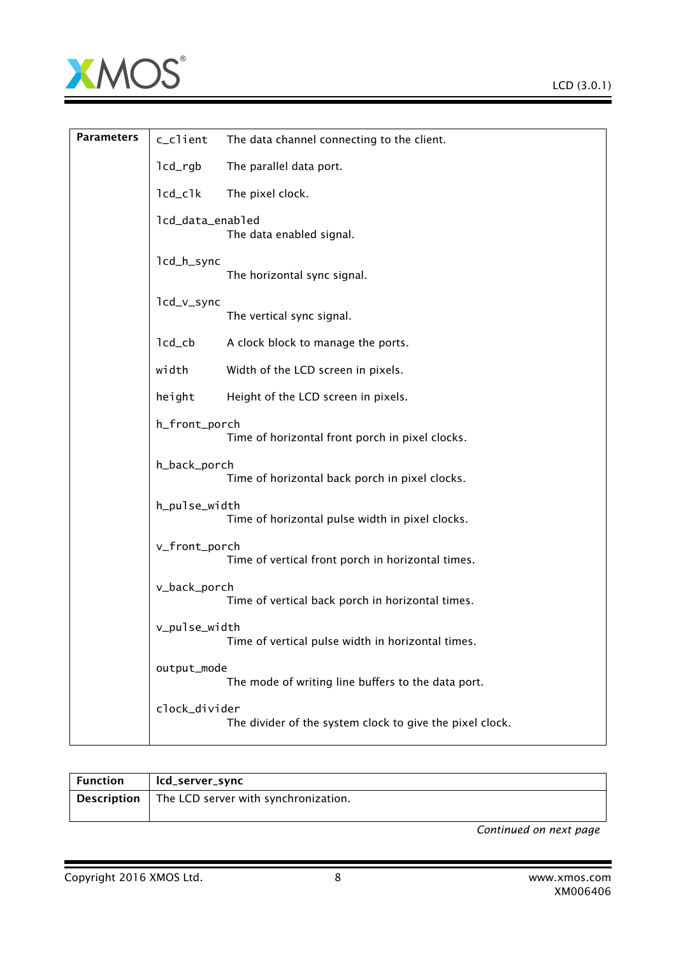

| <b>Parameters</b> | c_client                          | The data channel connecting to the client.               |
|-------------------|-----------------------------------|----------------------------------------------------------|
|                   | lcd_rgb                           | The parallel data port.                                  |
|                   | $lcd_clk$                         | The pixel clock.                                         |
|                   | lcd_data_enabled                  | The data enabled signal.                                 |
|                   | lcd_h_sync                        | The horizontal sync signal.                              |
|                   | lcd_v_sync                        | The vertical sync signal.                                |
|                   | $lcd$ <sub>_<math>cb</math></sub> | A clock block to manage the ports.                       |
|                   | width                             | Width of the LCD screen in pixels.                       |
|                   | height                            | Height of the LCD screen in pixels.                      |
|                   | h_front_porch                     | Time of horizontal front porch in pixel clocks.          |
|                   | h_back_porch                      | Time of horizontal back porch in pixel clocks.           |
|                   | h_pulse_width                     | Time of horizontal pulse width in pixel clocks.          |
|                   | v_front_porch                     | Time of vertical front porch in horizontal times.        |
|                   | v_back_porch                      | Time of vertical back porch in horizontal times.         |
|                   | v_pulse_width                     | Time of vertical pulse width in horizontal times.        |
|                   | output_mode                       | The mode of writing line buffers to the data port.       |
|                   | clock_divider                     | The divider of the system clock to give the pixel clock. |

| Function           | lcd_server_sync                      |
|--------------------|--------------------------------------|
| <b>Description</b> | The LCD server with synchronization. |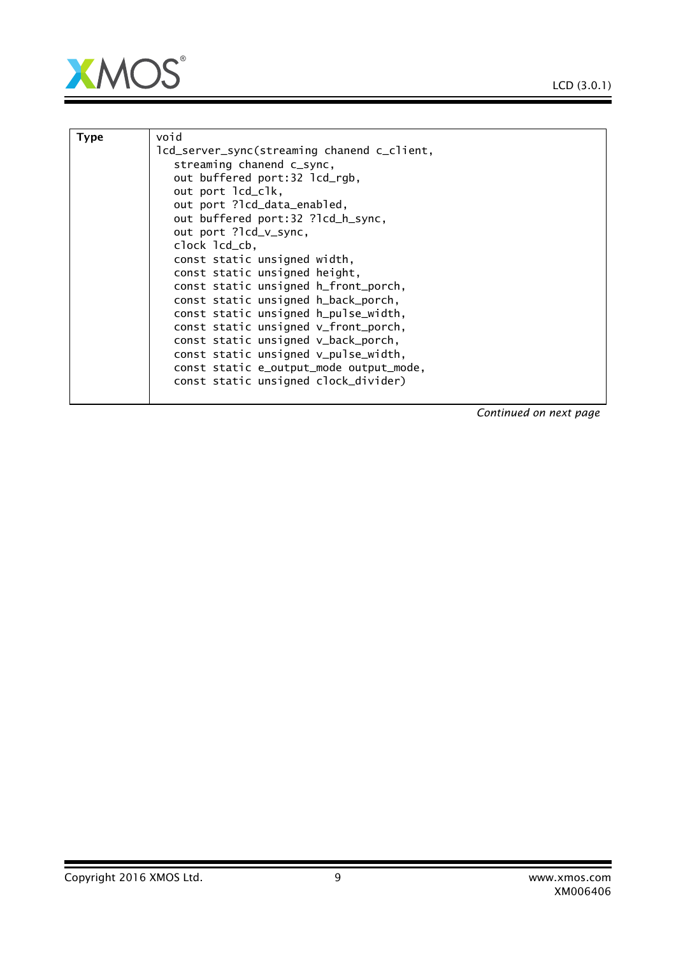



|             | void                                        |
|-------------|---------------------------------------------|
| <b>Type</b> |                                             |
|             | lcd_server_sync(streaming chanend c_client, |
|             | streaming chanend c_sync,                   |
|             | out buffered port:32 lcd_rgb,               |
|             | out port lcd_clk,                           |
|             | out port ?lcd_data_enabled,                 |
|             | out buffered port:32 ?lcd_h_sync,           |
|             | out port ?lcd_v_sync,                       |
|             | clock lcd_cb,                               |
|             | const static unsigned width,                |
|             | const static unsigned height,               |
|             | const static unsigned h_front_porch,        |
|             | const static unsigned h_back_porch,         |
|             | const static unsigned h_pulse_width,        |
|             | const static unsigned v_front_porch,        |
|             | const static unsigned v_back_porch,         |
|             | const static unsigned v_pulse_width,        |
|             | const static e_output_mode output_mode,     |
|             | const static unsigned clock_divider)        |
|             |                                             |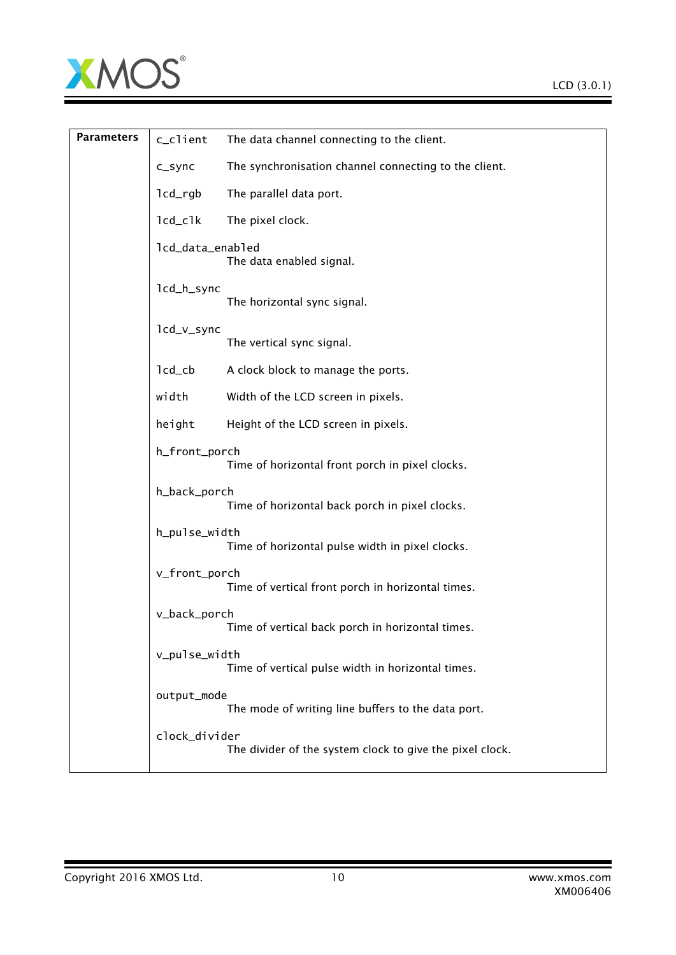

| <b>Parameters</b> | c_client                          | The data channel connecting to the client.               |
|-------------------|-----------------------------------|----------------------------------------------------------|
|                   | c_sync                            | The synchronisation channel connecting to the client.    |
|                   | $lcd\_rgb$                        | The parallel data port.                                  |
|                   | $lcd_clk$                         | The pixel clock.                                         |
|                   | lcd_data_enabled                  | The data enabled signal.                                 |
|                   | lcd_h_sync                        | The horizontal sync signal.                              |
|                   | lcd_v_sync                        | The vertical sync signal.                                |
|                   | $lcd$ <sub>_<math>cb</math></sub> | A clock block to manage the ports.                       |
|                   | width                             | Width of the LCD screen in pixels.                       |
|                   | height                            | Height of the LCD screen in pixels.                      |
|                   | h_front_porch                     | Time of horizontal front porch in pixel clocks.          |
|                   | h_back_porch                      | Time of horizontal back porch in pixel clocks.           |
|                   | h_pulse_width                     | Time of horizontal pulse width in pixel clocks.          |
|                   | v_front_porch                     | Time of vertical front porch in horizontal times.        |
|                   | v_back_porch                      | Time of vertical back porch in horizontal times.         |
|                   | v_pulse_width                     | Time of vertical pulse width in horizontal times.        |
|                   | output_mode                       | The mode of writing line buffers to the data port.       |
|                   | clock_divider                     | The divider of the system clock to give the pixel clock. |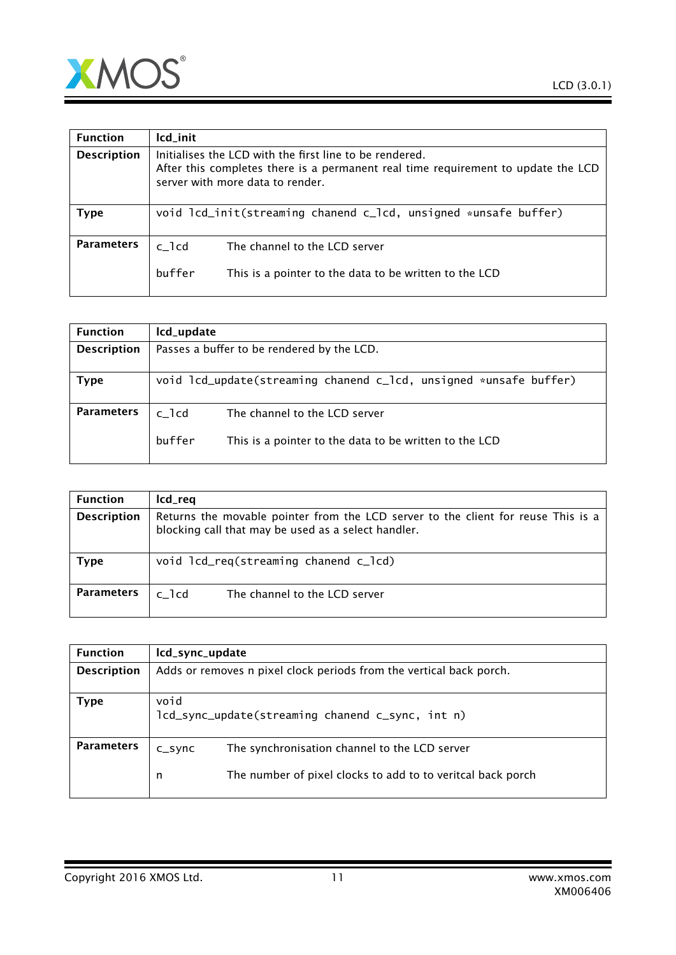

| <b>Function</b>    | lcd_init                                                                                                                                                                         |  |  |
|--------------------|----------------------------------------------------------------------------------------------------------------------------------------------------------------------------------|--|--|
| <b>Description</b> | Initialises the LCD with the first line to be rendered.<br>After this completes there is a permanent real time requirement to update the LCD<br>server with more data to render. |  |  |
| <b>Type</b>        | void lcd_init(streaming chanend c_lcd, unsigned *unsafe buffer)                                                                                                                  |  |  |
| <b>Parameters</b>  | $c$ <sup>lcd</sup><br>The channel to the LCD server<br>buffer<br>This is a pointer to the data to be written to the LCD                                                          |  |  |
|                    |                                                                                                                                                                                  |  |  |

| Icd_update                                                                                                       |  |  |
|------------------------------------------------------------------------------------------------------------------|--|--|
| Passes a buffer to be rendered by the LCD.                                                                       |  |  |
| void lcd_update(streaming chanend c_lcd, unsigned *unsafe buffer)                                                |  |  |
| $c$ _ $1cd$<br>The channel to the LCD server<br>buffer<br>This is a pointer to the data to be written to the LCD |  |  |
|                                                                                                                  |  |  |

| <b>Function</b>    | lcd_req                                                                                                                                  |
|--------------------|------------------------------------------------------------------------------------------------------------------------------------------|
| <b>Description</b> | Returns the movable pointer from the LCD server to the client for reuse This is a<br>blocking call that may be used as a select handler. |
| Type               | void lcd_req(streaming chanend c_lcd)                                                                                                    |
| <b>Parameters</b>  | The channel to the LCD server<br>c 1cd                                                                                                   |

| <b>Function</b>    | lcd_sync_update                                                     |                                                             |
|--------------------|---------------------------------------------------------------------|-------------------------------------------------------------|
| <b>Description</b> | Adds or removes n pixel clock periods from the vertical back porch. |                                                             |
| Type               | void<br>lcd_sync_update(streaming chanend c_sync, int n)            |                                                             |
| <b>Parameters</b>  | $C_S$ ync                                                           | The synchronisation channel to the LCD server               |
|                    | n                                                                   | The number of pixel clocks to add to to veritcal back porch |

# Copyright 2016 XMOS Ltd. 11 www.xmos.com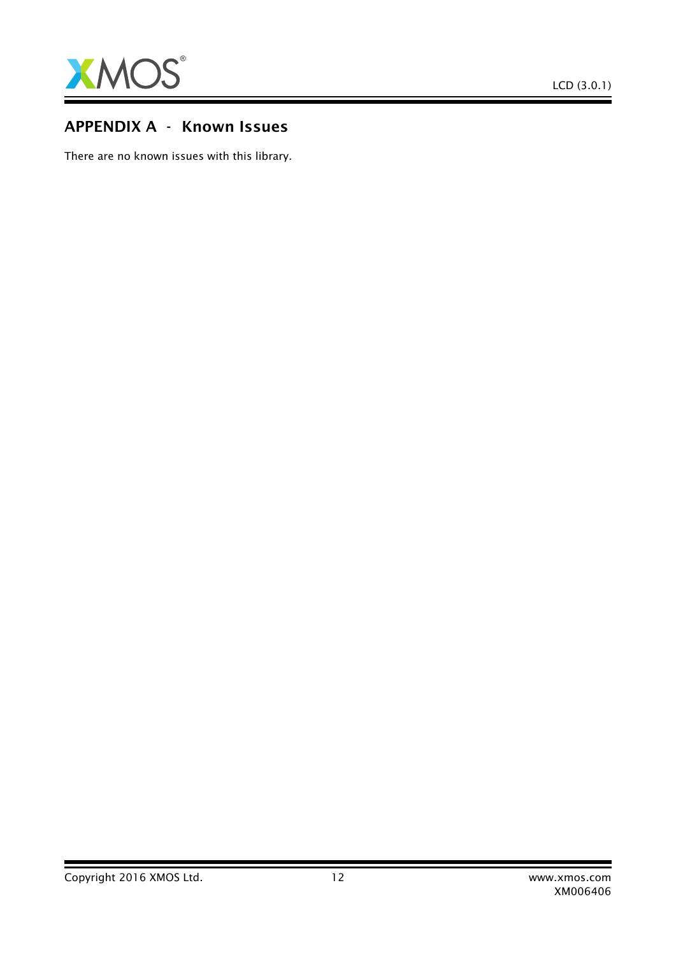

# APPENDIX A - Known Issues

There are no known issues with this library.